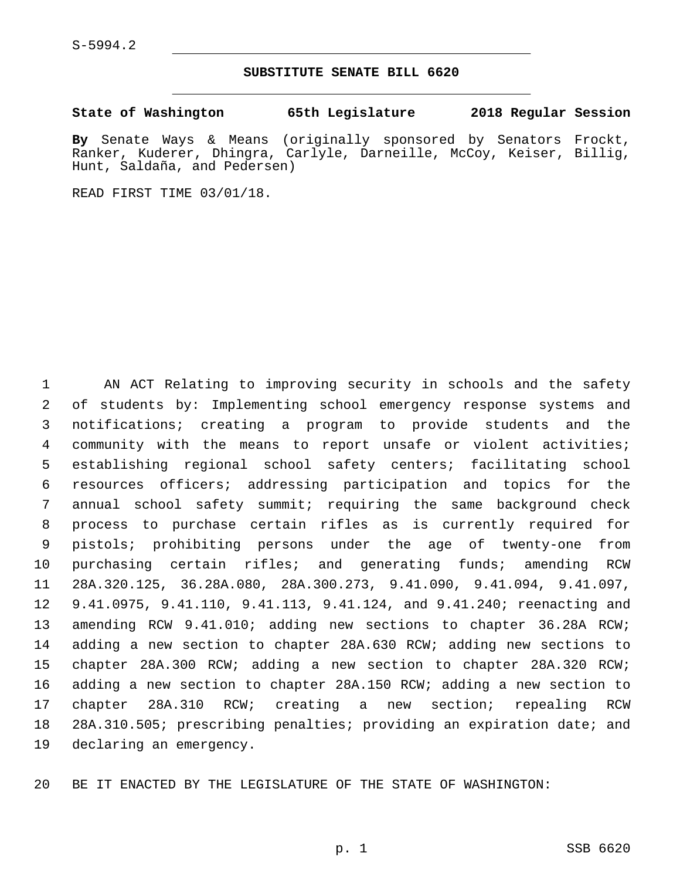#### **SUBSTITUTE SENATE BILL 6620**

**State of Washington 65th Legislature 2018 Regular Session**

**By** Senate Ways & Means (originally sponsored by Senators Frockt, Ranker, Kuderer, Dhingra, Carlyle, Darneille, McCoy, Keiser, Billig, Hunt, Saldaña, and Pedersen)

READ FIRST TIME 03/01/18.

 AN ACT Relating to improving security in schools and the safety of students by: Implementing school emergency response systems and notifications; creating a program to provide students and the community with the means to report unsafe or violent activities; establishing regional school safety centers; facilitating school resources officers; addressing participation and topics for the annual school safety summit; requiring the same background check process to purchase certain rifles as is currently required for pistols; prohibiting persons under the age of twenty-one from purchasing certain rifles; and generating funds; amending RCW 28A.320.125, 36.28A.080, 28A.300.273, 9.41.090, 9.41.094, 9.41.097, 9.41.0975, 9.41.110, 9.41.113, 9.41.124, and 9.41.240; reenacting and amending RCW 9.41.010; adding new sections to chapter 36.28A RCW; adding a new section to chapter 28A.630 RCW; adding new sections to chapter 28A.300 RCW; adding a new section to chapter 28A.320 RCW; adding a new section to chapter 28A.150 RCW; adding a new section to chapter 28A.310 RCW; creating a new section; repealing RCW 28A.310.505; prescribing penalties; providing an expiration date; and 19 declaring an emergency.

BE IT ENACTED BY THE LEGISLATURE OF THE STATE OF WASHINGTON: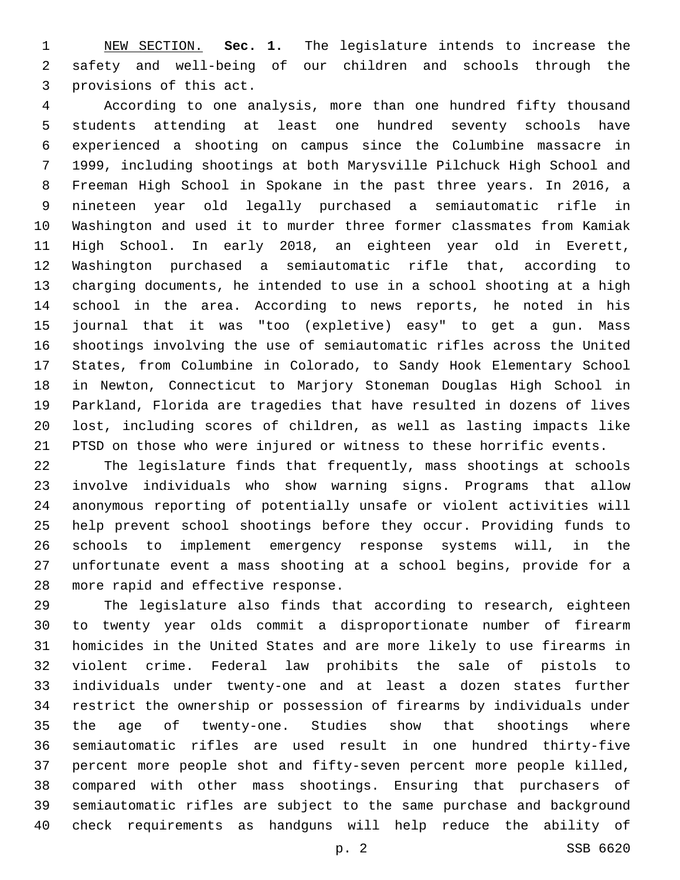NEW SECTION. **Sec. 1.** The legislature intends to increase the safety and well-being of our children and schools through the provisions of this act.

 According to one analysis, more than one hundred fifty thousand students attending at least one hundred seventy schools have experienced a shooting on campus since the Columbine massacre in 1999, including shootings at both Marysville Pilchuck High School and Freeman High School in Spokane in the past three years. In 2016, a nineteen year old legally purchased a semiautomatic rifle in Washington and used it to murder three former classmates from Kamiak High School. In early 2018, an eighteen year old in Everett, Washington purchased a semiautomatic rifle that, according to charging documents, he intended to use in a school shooting at a high school in the area. According to news reports, he noted in his journal that it was "too (expletive) easy" to get a gun. Mass shootings involving the use of semiautomatic rifles across the United States, from Columbine in Colorado, to Sandy Hook Elementary School in Newton, Connecticut to Marjory Stoneman Douglas High School in Parkland, Florida are tragedies that have resulted in dozens of lives lost, including scores of children, as well as lasting impacts like PTSD on those who were injured or witness to these horrific events.

 The legislature finds that frequently, mass shootings at schools involve individuals who show warning signs. Programs that allow anonymous reporting of potentially unsafe or violent activities will help prevent school shootings before they occur. Providing funds to schools to implement emergency response systems will, in the unfortunate event a mass shooting at a school begins, provide for a 28 more rapid and effective response.

 The legislature also finds that according to research, eighteen to twenty year olds commit a disproportionate number of firearm homicides in the United States and are more likely to use firearms in violent crime. Federal law prohibits the sale of pistols to individuals under twenty-one and at least a dozen states further restrict the ownership or possession of firearms by individuals under the age of twenty-one. Studies show that shootings where semiautomatic rifles are used result in one hundred thirty-five percent more people shot and fifty-seven percent more people killed, compared with other mass shootings. Ensuring that purchasers of semiautomatic rifles are subject to the same purchase and background check requirements as handguns will help reduce the ability of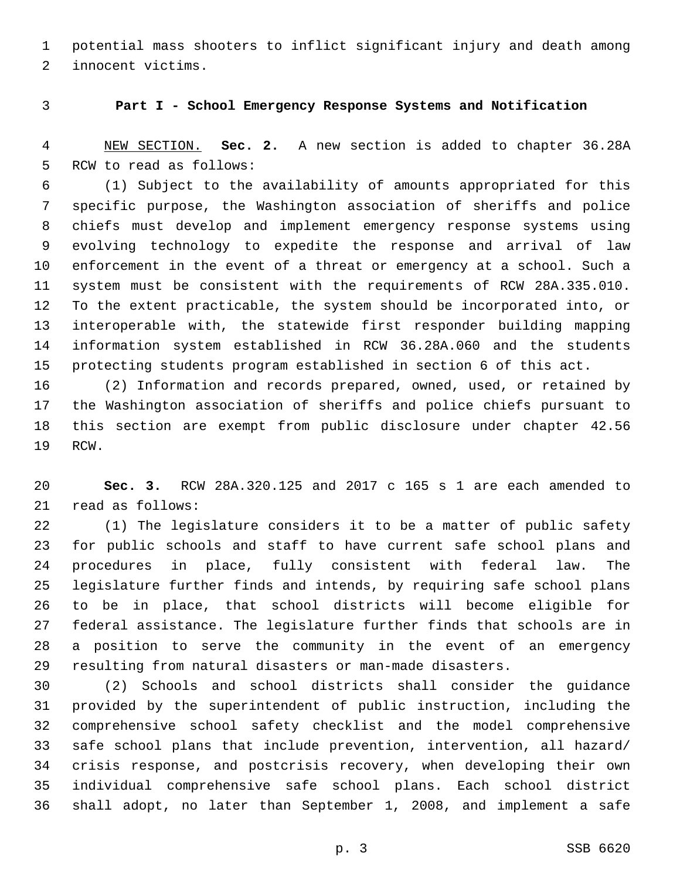potential mass shooters to inflict significant injury and death among 2 innocent victims.

# **Part I - School Emergency Response Systems and Notification**

 NEW SECTION. **Sec. 2.** A new section is added to chapter 36.28A 5 RCW to read as follows:

 (1) Subject to the availability of amounts appropriated for this specific purpose, the Washington association of sheriffs and police chiefs must develop and implement emergency response systems using evolving technology to expedite the response and arrival of law enforcement in the event of a threat or emergency at a school. Such a system must be consistent with the requirements of RCW 28A.335.010. To the extent practicable, the system should be incorporated into, or interoperable with, the statewide first responder building mapping information system established in RCW 36.28A.060 and the students protecting students program established in section 6 of this act.

 (2) Information and records prepared, owned, used, or retained by the Washington association of sheriffs and police chiefs pursuant to this section are exempt from public disclosure under chapter 42.56 19 RCW.

 **Sec. 3.** RCW 28A.320.125 and 2017 c 165 s 1 are each amended to 21 read as follows:

 (1) The legislature considers it to be a matter of public safety for public schools and staff to have current safe school plans and procedures in place, fully consistent with federal law. The legislature further finds and intends, by requiring safe school plans to be in place, that school districts will become eligible for federal assistance. The legislature further finds that schools are in a position to serve the community in the event of an emergency resulting from natural disasters or man-made disasters.

 (2) Schools and school districts shall consider the guidance provided by the superintendent of public instruction, including the comprehensive school safety checklist and the model comprehensive safe school plans that include prevention, intervention, all hazard/ crisis response, and postcrisis recovery, when developing their own individual comprehensive safe school plans. Each school district shall adopt, no later than September 1, 2008, and implement a safe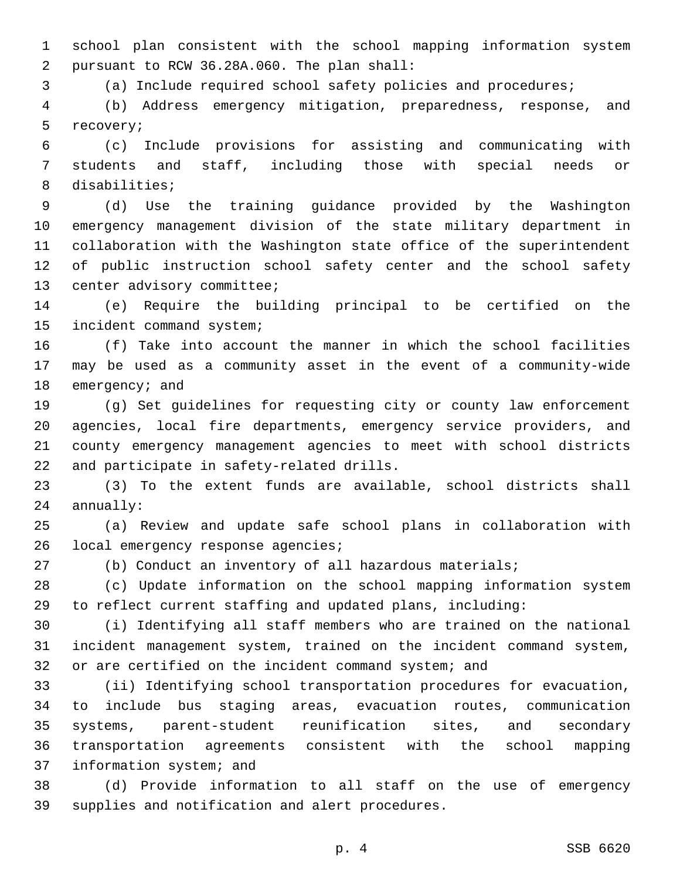school plan consistent with the school mapping information system pursuant to RCW 36.28A.060. The plan shall:2

(a) Include required school safety policies and procedures;

 (b) Address emergency mitigation, preparedness, response, and 5 recovery;

 (c) Include provisions for assisting and communicating with students and staff, including those with special needs or 8 disabilities;

 (d) Use the training guidance provided by the Washington emergency management division of the state military department in collaboration with the Washington state office of the superintendent of public instruction school safety center and the school safety 13 center advisory committee;

 (e) Require the building principal to be certified on the 15 incident command system;

 (f) Take into account the manner in which the school facilities may be used as a community asset in the event of a community-wide 18 emergency; and

 (g) Set guidelines for requesting city or county law enforcement agencies, local fire departments, emergency service providers, and county emergency management agencies to meet with school districts 22 and participate in safety-related drills.

 (3) To the extent funds are available, school districts shall 24 annually:

 (a) Review and update safe school plans in collaboration with 26 local emergency response agencies;

(b) Conduct an inventory of all hazardous materials;

 (c) Update information on the school mapping information system to reflect current staffing and updated plans, including:

 (i) Identifying all staff members who are trained on the national incident management system, trained on the incident command system, or are certified on the incident command system; and

 (ii) Identifying school transportation procedures for evacuation, to include bus staging areas, evacuation routes, communication systems, parent-student reunification sites, and secondary transportation agreements consistent with the school mapping 37 information system; and

 (d) Provide information to all staff on the use of emergency 39 supplies and notification and alert procedures.

p. 4 SSB 6620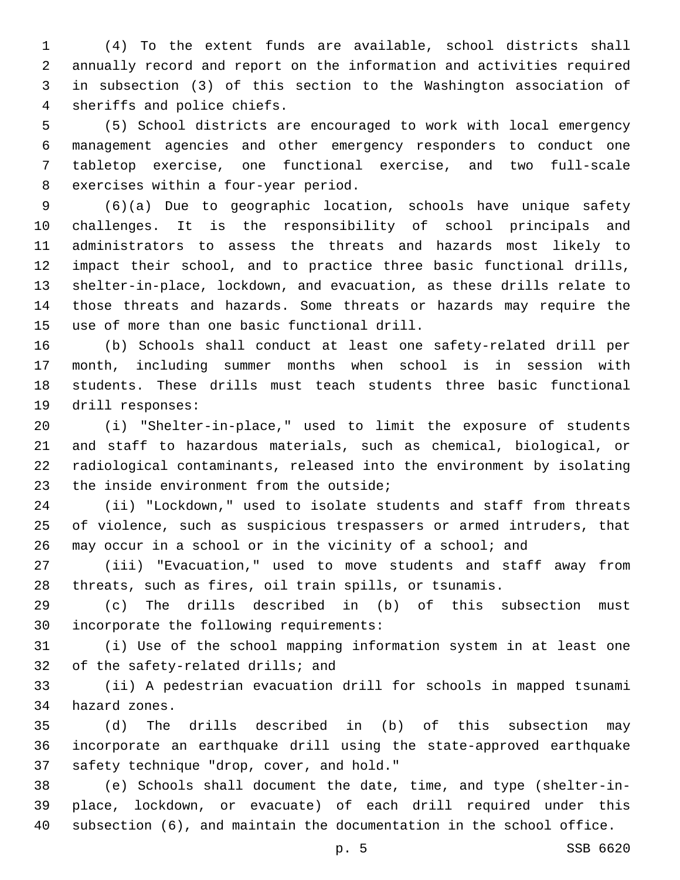(4) To the extent funds are available, school districts shall annually record and report on the information and activities required in subsection (3) of this section to the Washington association of 4 sheriffs and police chiefs.

 (5) School districts are encouraged to work with local emergency management agencies and other emergency responders to conduct one tabletop exercise, one functional exercise, and two full-scale 8 exercises within a four-year period.

 (6)(a) Due to geographic location, schools have unique safety challenges. It is the responsibility of school principals and administrators to assess the threats and hazards most likely to impact their school, and to practice three basic functional drills, shelter-in-place, lockdown, and evacuation, as these drills relate to those threats and hazards. Some threats or hazards may require the 15 use of more than one basic functional drill.

 (b) Schools shall conduct at least one safety-related drill per month, including summer months when school is in session with students. These drills must teach students three basic functional 19 drill responses:

 (i) "Shelter-in-place," used to limit the exposure of students and staff to hazardous materials, such as chemical, biological, or radiological contaminants, released into the environment by isolating 23 the inside environment from the outside;

 (ii) "Lockdown," used to isolate students and staff from threats of violence, such as suspicious trespassers or armed intruders, that may occur in a school or in the vicinity of a school; and

 (iii) "Evacuation," used to move students and staff away from threats, such as fires, oil train spills, or tsunamis.

 (c) The drills described in (b) of this subsection must 30 incorporate the following requirements:

 (i) Use of the school mapping information system in at least one 32 of the safety-related drills; and

 (ii) A pedestrian evacuation drill for schools in mapped tsunami 34 hazard zones.

 (d) The drills described in (b) of this subsection may incorporate an earthquake drill using the state-approved earthquake 37 safety technique "drop, cover, and hold."

 (e) Schools shall document the date, time, and type (shelter-in- place, lockdown, or evacuate) of each drill required under this subsection (6), and maintain the documentation in the school office.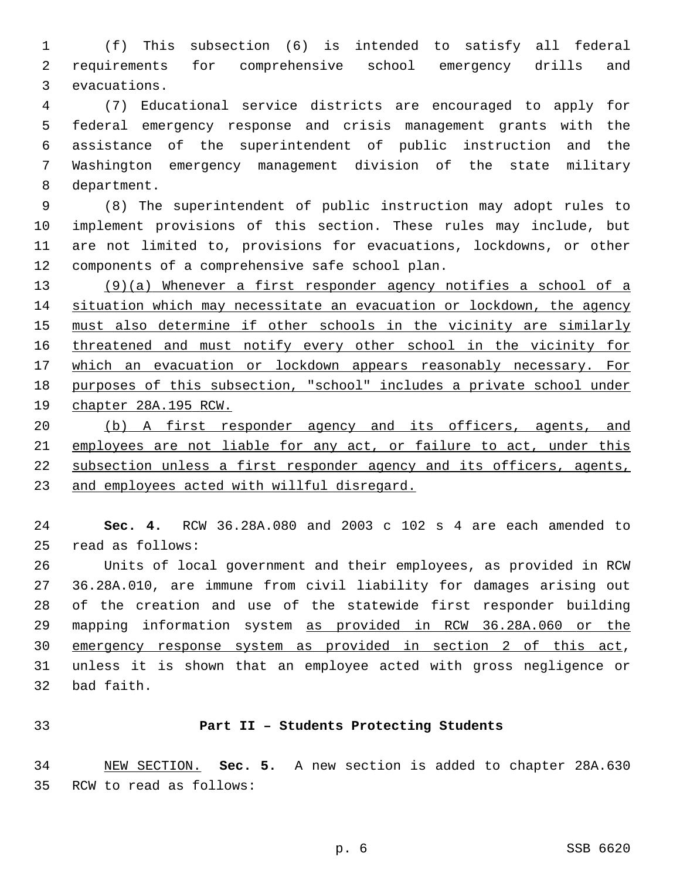(f) This subsection (6) is intended to satisfy all federal requirements for comprehensive school emergency drills and 3 evacuations.

 (7) Educational service districts are encouraged to apply for federal emergency response and crisis management grants with the assistance of the superintendent of public instruction and the Washington emergency management division of the state military 8 department.

 (8) The superintendent of public instruction may adopt rules to implement provisions of this section. These rules may include, but are not limited to, provisions for evacuations, lockdowns, or other 12 components of a comprehensive safe school plan.

 (9)(a) Whenever a first responder agency notifies a school of a situation which may necessitate an evacuation or lockdown, the agency must also determine if other schools in the vicinity are similarly threatened and must notify every other school in the vicinity for which an evacuation or lockdown appears reasonably necessary. For purposes of this subsection, "school" includes a private school under chapter 28A.195 RCW.

20 (b) A first responder agency and its officers, agents, and 21 employees are not liable for any act, or failure to act, under this subsection unless a first responder agency and its officers, agents, and employees acted with willful disregard.

 **Sec. 4.** RCW 36.28A.080 and 2003 c 102 s 4 are each amended to read as follows:25

 Units of local government and their employees, as provided in RCW 36.28A.010, are immune from civil liability for damages arising out of the creation and use of the statewide first responder building mapping information system as provided in RCW 36.28A.060 or the emergency response system as provided in section 2 of this act, unless it is shown that an employee acted with gross negligence or 32 bad faith.

## **Part II – Students Protecting Students**

 NEW SECTION. **Sec. 5.** A new section is added to chapter 28A.630 35 RCW to read as follows: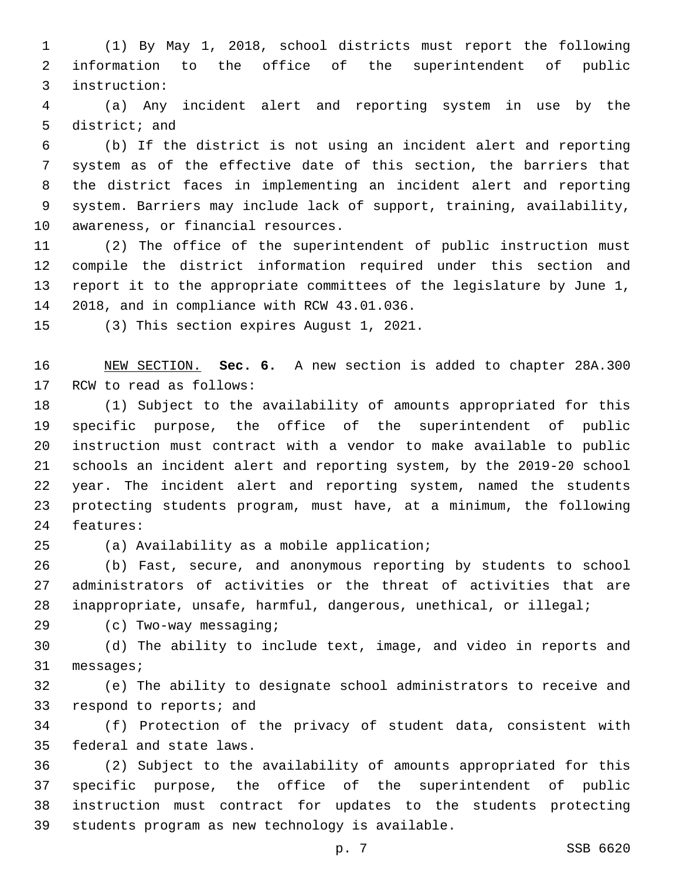(1) By May 1, 2018, school districts must report the following information to the office of the superintendent of public instruction:3

 (a) Any incident alert and reporting system in use by the 5 district; and

 (b) If the district is not using an incident alert and reporting system as of the effective date of this section, the barriers that the district faces in implementing an incident alert and reporting system. Barriers may include lack of support, training, availability, 10 awareness, or financial resources.

 (2) The office of the superintendent of public instruction must compile the district information required under this section and report it to the appropriate committees of the legislature by June 1, 14 2018, and in compliance with RCW 43.01.036.

15 (3) This section expires August 1, 2021.

 NEW SECTION. **Sec. 6.** A new section is added to chapter 28A.300 17 RCW to read as follows:

 (1) Subject to the availability of amounts appropriated for this specific purpose, the office of the superintendent of public instruction must contract with a vendor to make available to public schools an incident alert and reporting system, by the 2019-20 school year. The incident alert and reporting system, named the students protecting students program, must have, at a minimum, the following 24 features:

25 (a) Availability as a mobile application;

 (b) Fast, secure, and anonymous reporting by students to school administrators of activities or the threat of activities that are inappropriate, unsafe, harmful, dangerous, unethical, or illegal;

(c) Two-way messaging;29

 (d) The ability to include text, image, and video in reports and 31 messages;

 (e) The ability to designate school administrators to receive and 33 respond to reports; and

 (f) Protection of the privacy of student data, consistent with 35 federal and state laws.

 (2) Subject to the availability of amounts appropriated for this specific purpose, the office of the superintendent of public instruction must contract for updates to the students protecting 39 students program as new technology is available.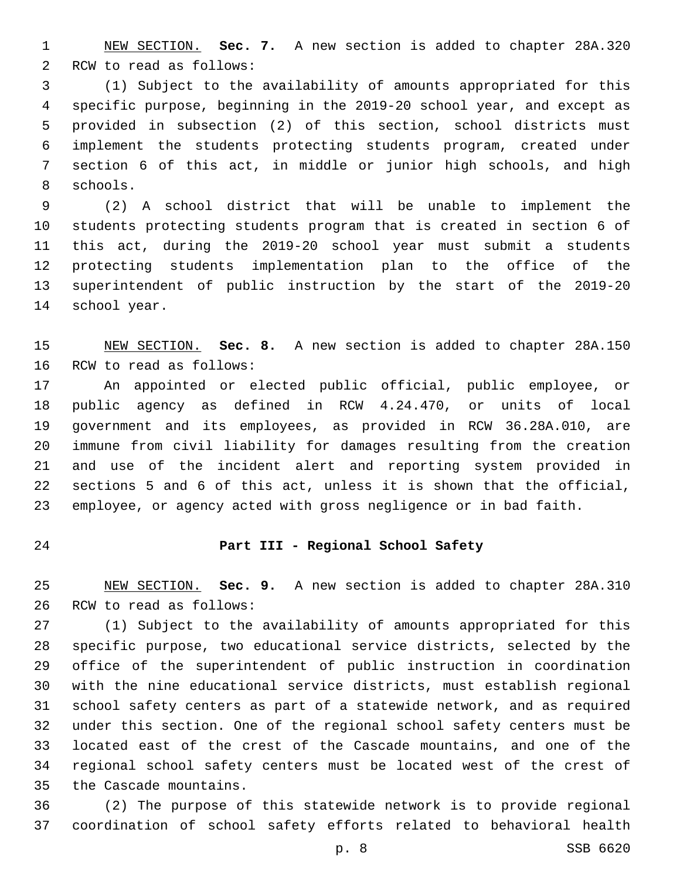NEW SECTION. **Sec. 7.** A new section is added to chapter 28A.320 2 RCW to read as follows:

 (1) Subject to the availability of amounts appropriated for this specific purpose, beginning in the 2019-20 school year, and except as provided in subsection (2) of this section, school districts must implement the students protecting students program, created under section 6 of this act, in middle or junior high schools, and high 8 schools.

 (2) A school district that will be unable to implement the students protecting students program that is created in section 6 of this act, during the 2019-20 school year must submit a students protecting students implementation plan to the office of the superintendent of public instruction by the start of the 2019-20 14 school year.

 NEW SECTION. **Sec. 8.** A new section is added to chapter 28A.150 16 RCW to read as follows:

 An appointed or elected public official, public employee, or public agency as defined in RCW 4.24.470, or units of local government and its employees, as provided in RCW 36.28A.010, are immune from civil liability for damages resulting from the creation and use of the incident alert and reporting system provided in sections 5 and 6 of this act, unless it is shown that the official, employee, or agency acted with gross negligence or in bad faith.

# **Part III - Regional School Safety**

 NEW SECTION. **Sec. 9.** A new section is added to chapter 28A.310 26 RCW to read as follows:

 (1) Subject to the availability of amounts appropriated for this specific purpose, two educational service districts, selected by the office of the superintendent of public instruction in coordination with the nine educational service districts, must establish regional school safety centers as part of a statewide network, and as required under this section. One of the regional school safety centers must be located east of the crest of the Cascade mountains, and one of the regional school safety centers must be located west of the crest of 35 the Cascade mountains.

 (2) The purpose of this statewide network is to provide regional coordination of school safety efforts related to behavioral health

p. 8 SSB 6620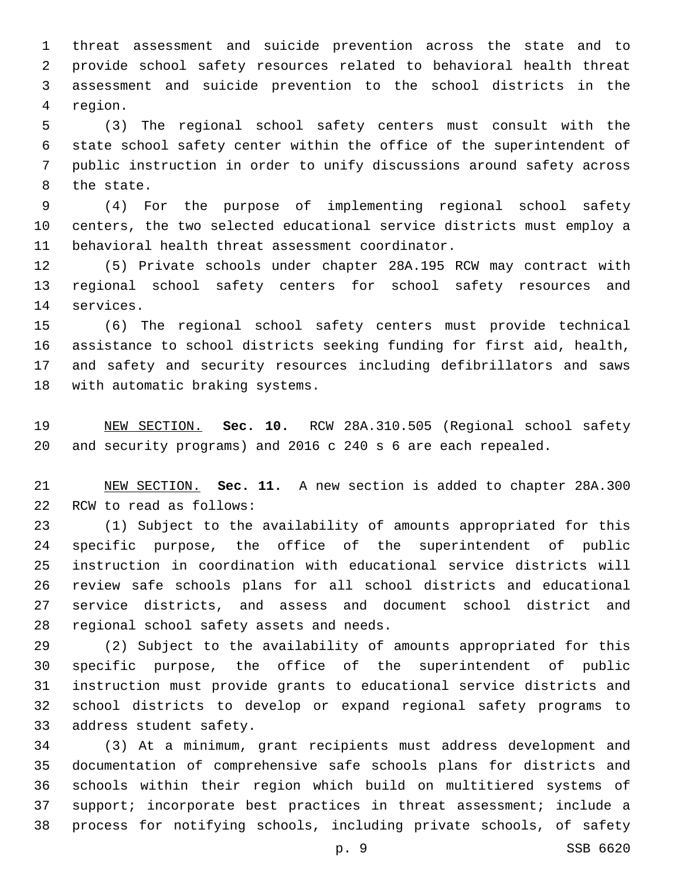threat assessment and suicide prevention across the state and to provide school safety resources related to behavioral health threat assessment and suicide prevention to the school districts in the 4 region.

 (3) The regional school safety centers must consult with the state school safety center within the office of the superintendent of public instruction in order to unify discussions around safety across 8 the state.

 (4) For the purpose of implementing regional school safety centers, the two selected educational service districts must employ a 11 behavioral health threat assessment coordinator.

 (5) Private schools under chapter 28A.195 RCW may contract with regional school safety centers for school safety resources and 14 services.

 (6) The regional school safety centers must provide technical assistance to school districts seeking funding for first aid, health, and safety and security resources including defibrillators and saws 18 with automatic braking systems.

 NEW SECTION. **Sec. 10.** RCW 28A.310.505 (Regional school safety and security programs) and 2016 c 240 s 6 are each repealed.

 NEW SECTION. **Sec. 11.** A new section is added to chapter 28A.300 22 RCW to read as follows:

 (1) Subject to the availability of amounts appropriated for this specific purpose, the office of the superintendent of public instruction in coordination with educational service districts will review safe schools plans for all school districts and educational service districts, and assess and document school district and 28 regional school safety assets and needs.

 (2) Subject to the availability of amounts appropriated for this specific purpose, the office of the superintendent of public instruction must provide grants to educational service districts and school districts to develop or expand regional safety programs to 33 address student safety.

 (3) At a minimum, grant recipients must address development and documentation of comprehensive safe schools plans for districts and schools within their region which build on multitiered systems of support; incorporate best practices in threat assessment; include a process for notifying schools, including private schools, of safety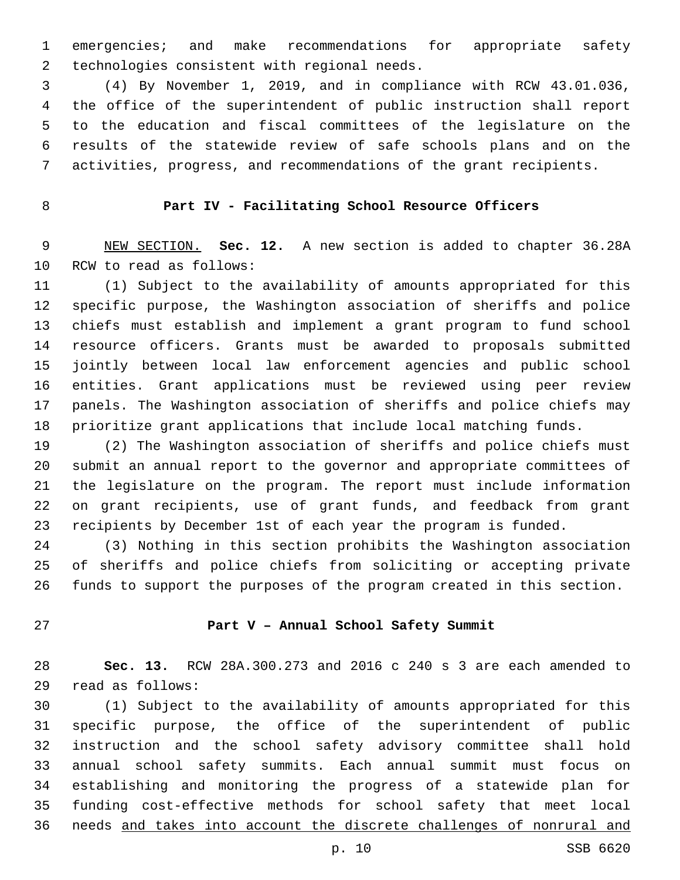emergencies; and make recommendations for appropriate safety 2 technologies consistent with regional needs.

 (4) By November 1, 2019, and in compliance with RCW 43.01.036, the office of the superintendent of public instruction shall report to the education and fiscal committees of the legislature on the results of the statewide review of safe schools plans and on the activities, progress, and recommendations of the grant recipients.

# **Part IV - Facilitating School Resource Officers**

 NEW SECTION. **Sec. 12.** A new section is added to chapter 36.28A 10 RCW to read as follows:

 (1) Subject to the availability of amounts appropriated for this specific purpose, the Washington association of sheriffs and police chiefs must establish and implement a grant program to fund school resource officers. Grants must be awarded to proposals submitted jointly between local law enforcement agencies and public school entities. Grant applications must be reviewed using peer review panels. The Washington association of sheriffs and police chiefs may prioritize grant applications that include local matching funds.

 (2) The Washington association of sheriffs and police chiefs must submit an annual report to the governor and appropriate committees of the legislature on the program. The report must include information on grant recipients, use of grant funds, and feedback from grant recipients by December 1st of each year the program is funded.

 (3) Nothing in this section prohibits the Washington association of sheriffs and police chiefs from soliciting or accepting private funds to support the purposes of the program created in this section.

### **Part V – Annual School Safety Summit**

 **Sec. 13.** RCW 28A.300.273 and 2016 c 240 s 3 are each amended to read as follows:29

 (1) Subject to the availability of amounts appropriated for this specific purpose, the office of the superintendent of public instruction and the school safety advisory committee shall hold annual school safety summits. Each annual summit must focus on establishing and monitoring the progress of a statewide plan for funding cost-effective methods for school safety that meet local needs and takes into account the discrete challenges of nonrural and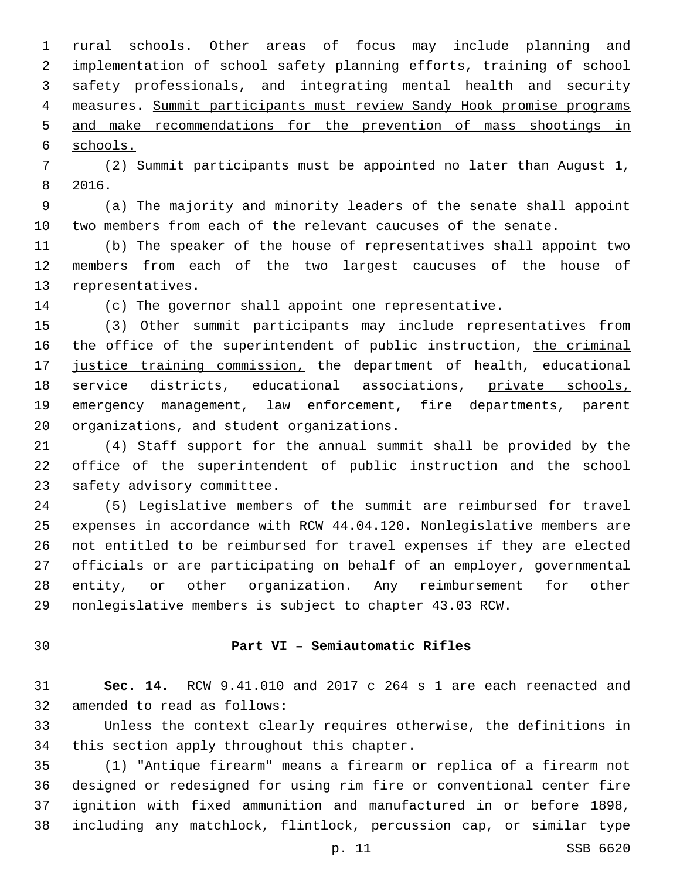1 rural schools. Other areas of focus may include planning and implementation of school safety planning efforts, training of school safety professionals, and integrating mental health and security measures. Summit participants must review Sandy Hook promise programs and make recommendations for the prevention of mass shootings in schools.

 (2) Summit participants must be appointed no later than August 1, 8 2016.

 (a) The majority and minority leaders of the senate shall appoint two members from each of the relevant caucuses of the senate.

 (b) The speaker of the house of representatives shall appoint two members from each of the two largest caucuses of the house of 13 representatives.

(c) The governor shall appoint one representative.

 (3) Other summit participants may include representatives from 16 the office of the superintendent of public instruction, the criminal 17 justice training commission, the department of health, educational service districts, educational associations, private schools, emergency management, law enforcement, fire departments, parent 20 organizations, and student organizations.

 (4) Staff support for the annual summit shall be provided by the office of the superintendent of public instruction and the school 23 safety advisory committee.

 (5) Legislative members of the summit are reimbursed for travel expenses in accordance with RCW 44.04.120. Nonlegislative members are not entitled to be reimbursed for travel expenses if they are elected officials or are participating on behalf of an employer, governmental entity, or other organization. Any reimbursement for other nonlegislative members is subject to chapter 43.03 RCW.

### **Part VI – Semiautomatic Rifles**

 **Sec. 14.** RCW 9.41.010 and 2017 c 264 s 1 are each reenacted and 32 amended to read as follows:

 Unless the context clearly requires otherwise, the definitions in 34 this section apply throughout this chapter.

 (1) "Antique firearm" means a firearm or replica of a firearm not designed or redesigned for using rim fire or conventional center fire ignition with fixed ammunition and manufactured in or before 1898, including any matchlock, flintlock, percussion cap, or similar type

p. 11 SSB 6620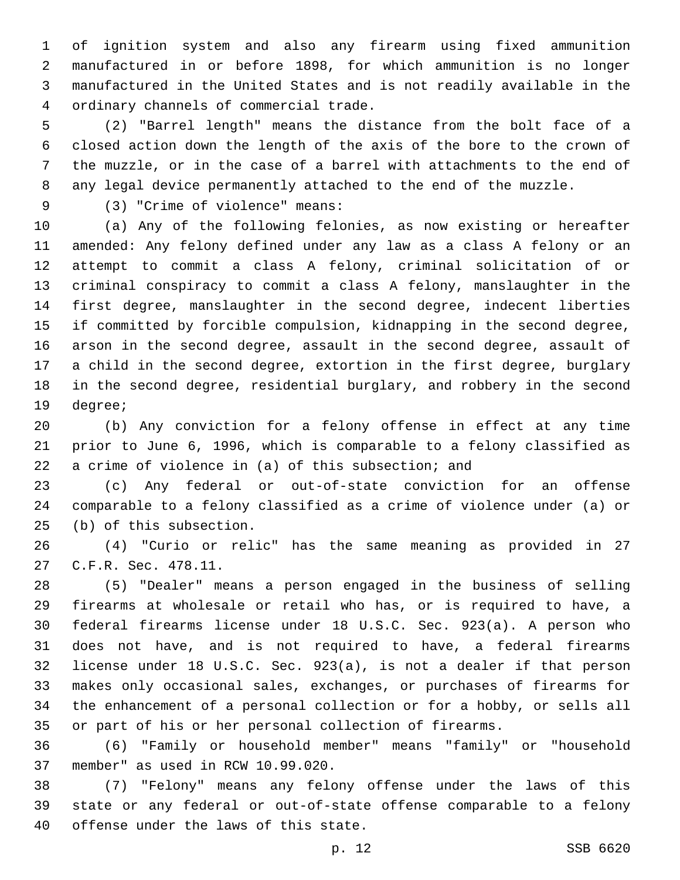of ignition system and also any firearm using fixed ammunition manufactured in or before 1898, for which ammunition is no longer manufactured in the United States and is not readily available in the ordinary channels of commercial trade.4

 (2) "Barrel length" means the distance from the bolt face of a closed action down the length of the axis of the bore to the crown of the muzzle, or in the case of a barrel with attachments to the end of any legal device permanently attached to the end of the muzzle.

(3) "Crime of violence" means:9

 (a) Any of the following felonies, as now existing or hereafter amended: Any felony defined under any law as a class A felony or an attempt to commit a class A felony, criminal solicitation of or criminal conspiracy to commit a class A felony, manslaughter in the first degree, manslaughter in the second degree, indecent liberties if committed by forcible compulsion, kidnapping in the second degree, arson in the second degree, assault in the second degree, assault of a child in the second degree, extortion in the first degree, burglary in the second degree, residential burglary, and robbery in the second 19 degree;

 (b) Any conviction for a felony offense in effect at any time prior to June 6, 1996, which is comparable to a felony classified as a crime of violence in (a) of this subsection; and

 (c) Any federal or out-of-state conviction for an offense comparable to a felony classified as a crime of violence under (a) or 25 (b) of this subsection.

 (4) "Curio or relic" has the same meaning as provided in 27 27 C.F.R. Sec. 478.11.

 (5) "Dealer" means a person engaged in the business of selling firearms at wholesale or retail who has, or is required to have, a federal firearms license under 18 U.S.C. Sec. 923(a). A person who does not have, and is not required to have, a federal firearms license under 18 U.S.C. Sec. 923(a), is not a dealer if that person makes only occasional sales, exchanges, or purchases of firearms for the enhancement of a personal collection or for a hobby, or sells all or part of his or her personal collection of firearms.

 (6) "Family or household member" means "family" or "household 37 member" as used in RCW 10.99.020.

 (7) "Felony" means any felony offense under the laws of this state or any federal or out-of-state offense comparable to a felony 40 offense under the laws of this state.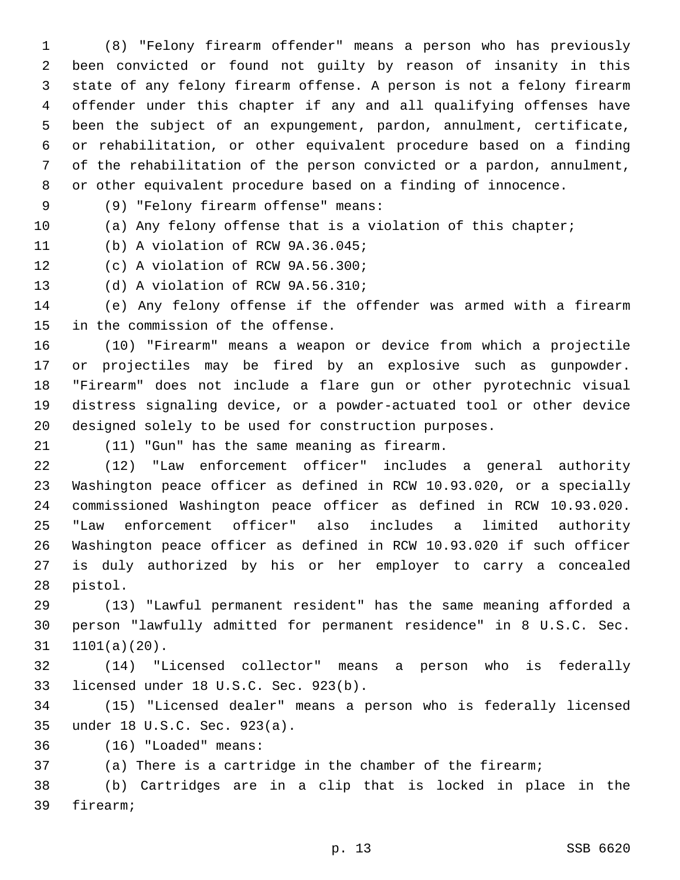(8) "Felony firearm offender" means a person who has previously been convicted or found not guilty by reason of insanity in this state of any felony firearm offense. A person is not a felony firearm offender under this chapter if any and all qualifying offenses have been the subject of an expungement, pardon, annulment, certificate, or rehabilitation, or other equivalent procedure based on a finding of the rehabilitation of the person convicted or a pardon, annulment, or other equivalent procedure based on a finding of innocence.

(9) "Felony firearm offense" means:9

(a) Any felony offense that is a violation of this chapter;

11 (b) A violation of RCW 9A.36.045;

12 (c) A violation of RCW 9A.56.300;

13 (d) A violation of RCW 9A.56.310;

 (e) Any felony offense if the offender was armed with a firearm 15 in the commission of the offense.

 (10) "Firearm" means a weapon or device from which a projectile or projectiles may be fired by an explosive such as gunpowder. "Firearm" does not include a flare gun or other pyrotechnic visual distress signaling device, or a powder-actuated tool or other device designed solely to be used for construction purposes.

(11) "Gun" has the same meaning as firearm.21

 (12) "Law enforcement officer" includes a general authority Washington peace officer as defined in RCW 10.93.020, or a specially commissioned Washington peace officer as defined in RCW 10.93.020. "Law enforcement officer" also includes a limited authority Washington peace officer as defined in RCW 10.93.020 if such officer is duly authorized by his or her employer to carry a concealed 28 pistol.

 (13) "Lawful permanent resident" has the same meaning afforded a person "lawfully admitted for permanent residence" in 8 U.S.C. Sec.  $31 \quad 1101(a)(20)$ .

 (14) "Licensed collector" means a person who is federally 33 licensed under 18 U.S.C. Sec. 923(b).

 (15) "Licensed dealer" means a person who is federally licensed under 18 U.S.C. Sec. 923(a).35

(16) "Loaded" means:36

(a) There is a cartridge in the chamber of the firearm;

 (b) Cartridges are in a clip that is locked in place in the 39 firearm;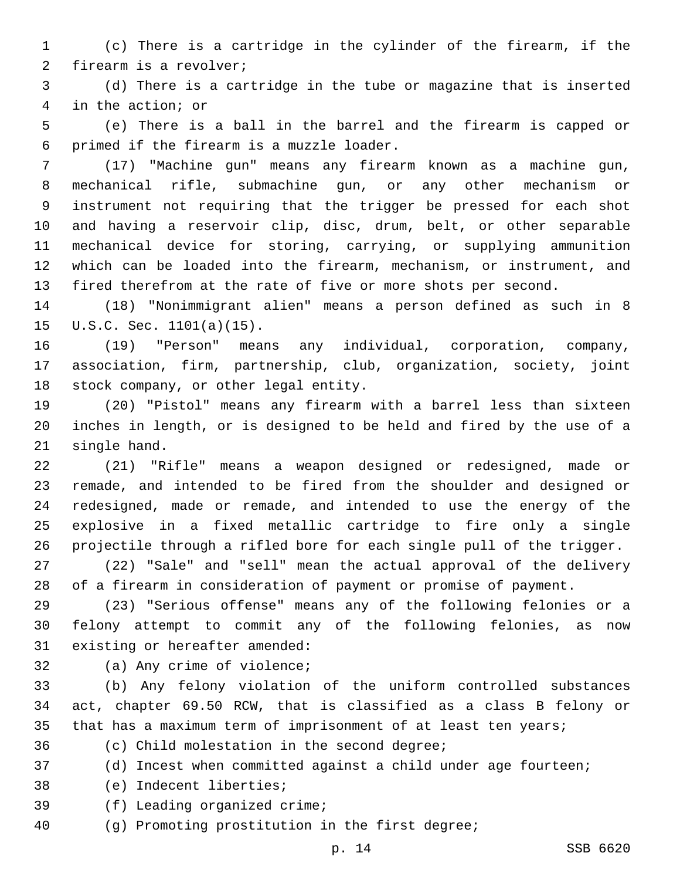(c) There is a cartridge in the cylinder of the firearm, if the 2 firearm is a revolver;

 (d) There is a cartridge in the tube or magazine that is inserted 4 in the action; or

 (e) There is a ball in the barrel and the firearm is capped or primed if the firearm is a muzzle loader.6

 (17) "Machine gun" means any firearm known as a machine gun, mechanical rifle, submachine gun, or any other mechanism or instrument not requiring that the trigger be pressed for each shot and having a reservoir clip, disc, drum, belt, or other separable mechanical device for storing, carrying, or supplying ammunition which can be loaded into the firearm, mechanism, or instrument, and fired therefrom at the rate of five or more shots per second.

 (18) "Nonimmigrant alien" means a person defined as such in 8 15  $U.S.C.$  Sec.  $1101(a)(15)$ .

 (19) "Person" means any individual, corporation, company, association, firm, partnership, club, organization, society, joint 18 stock company, or other legal entity.

 (20) "Pistol" means any firearm with a barrel less than sixteen inches in length, or is designed to be held and fired by the use of a 21 single hand.

 (21) "Rifle" means a weapon designed or redesigned, made or remade, and intended to be fired from the shoulder and designed or redesigned, made or remade, and intended to use the energy of the explosive in a fixed metallic cartridge to fire only a single projectile through a rifled bore for each single pull of the trigger.

 (22) "Sale" and "sell" mean the actual approval of the delivery of a firearm in consideration of payment or promise of payment.

 (23) "Serious offense" means any of the following felonies or a felony attempt to commit any of the following felonies, as now 31 existing or hereafter amended:

32 (a) Any crime of violence;

 (b) Any felony violation of the uniform controlled substances act, chapter 69.50 RCW, that is classified as a class B felony or 35 that has a maximum term of imprisonment of at least ten years;

36 (c) Child molestation in the second degree;

(d) Incest when committed against a child under age fourteen;

38 (e) Indecent liberties;

39 (f) Leading organized crime;

(g) Promoting prostitution in the first degree;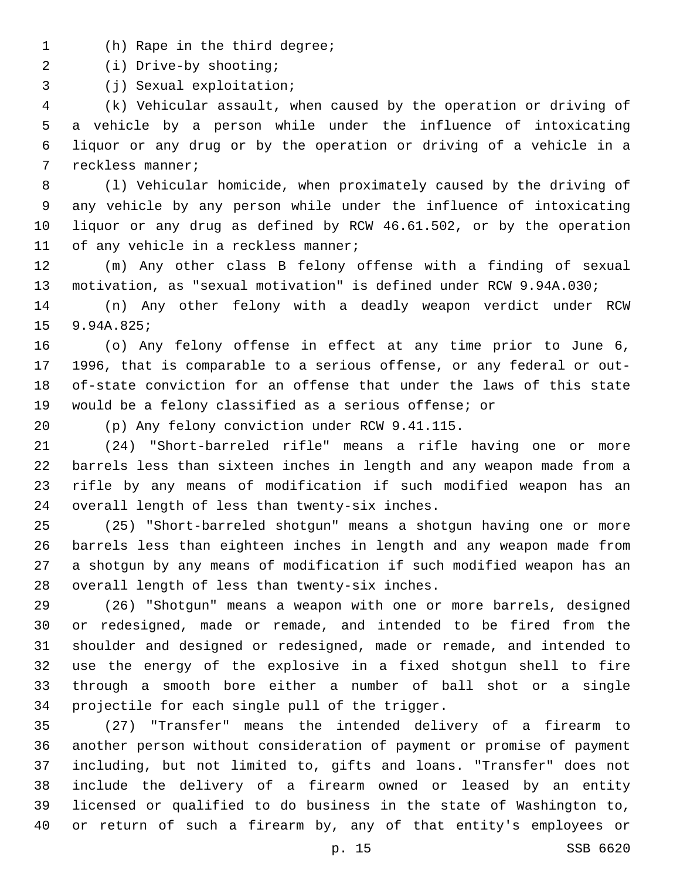- 1 (h) Rape in the third degree;
- (i) Drive-by shooting;2

3 (j) Sexual exploitation;

 (k) Vehicular assault, when caused by the operation or driving of a vehicle by a person while under the influence of intoxicating liquor or any drug or by the operation or driving of a vehicle in a 7 reckless manner;

 (l) Vehicular homicide, when proximately caused by the driving of any vehicle by any person while under the influence of intoxicating liquor or any drug as defined by RCW 46.61.502, or by the operation 11 of any vehicle in a reckless manner;

 (m) Any other class B felony offense with a finding of sexual motivation, as "sexual motivation" is defined under RCW 9.94A.030;

 (n) Any other felony with a deadly weapon verdict under RCW 9.94A.825;

 (o) Any felony offense in effect at any time prior to June 6, 1996, that is comparable to a serious offense, or any federal or out- of-state conviction for an offense that under the laws of this state would be a felony classified as a serious offense; or

(p) Any felony conviction under RCW 9.41.115.20

 (24) "Short-barreled rifle" means a rifle having one or more barrels less than sixteen inches in length and any weapon made from a rifle by any means of modification if such modified weapon has an 24 overall length of less than twenty-six inches.

 (25) "Short-barreled shotgun" means a shotgun having one or more barrels less than eighteen inches in length and any weapon made from a shotgun by any means of modification if such modified weapon has an 28 overall length of less than twenty-six inches.

 (26) "Shotgun" means a weapon with one or more barrels, designed or redesigned, made or remade, and intended to be fired from the shoulder and designed or redesigned, made or remade, and intended to use the energy of the explosive in a fixed shotgun shell to fire through a smooth bore either a number of ball shot or a single 34 projectile for each single pull of the trigger.

 (27) "Transfer" means the intended delivery of a firearm to another person without consideration of payment or promise of payment including, but not limited to, gifts and loans. "Transfer" does not include the delivery of a firearm owned or leased by an entity licensed or qualified to do business in the state of Washington to, or return of such a firearm by, any of that entity's employees or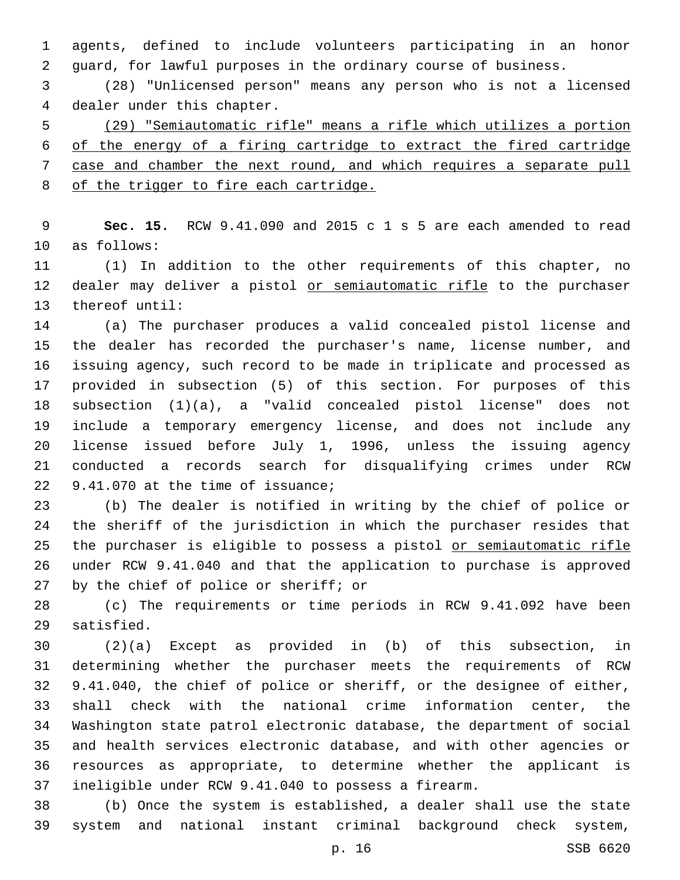agents, defined to include volunteers participating in an honor guard, for lawful purposes in the ordinary course of business.

 (28) "Unlicensed person" means any person who is not a licensed 4 dealer under this chapter.

 (29) "Semiautomatic rifle" means a rifle which utilizes a portion of the energy of a firing cartridge to extract the fired cartridge case and chamber the next round, and which requires a separate pull 8 of the trigger to fire each cartridge.

 **Sec. 15.** RCW 9.41.090 and 2015 c 1 s 5 are each amended to read 10 as follows:

 (1) In addition to the other requirements of this chapter, no 12 dealer may deliver a pistol or semiautomatic rifle to the purchaser 13 thereof until:

 (a) The purchaser produces a valid concealed pistol license and the dealer has recorded the purchaser's name, license number, and issuing agency, such record to be made in triplicate and processed as provided in subsection (5) of this section. For purposes of this subsection (1)(a), a "valid concealed pistol license" does not include a temporary emergency license, and does not include any license issued before July 1, 1996, unless the issuing agency conducted a records search for disqualifying crimes under RCW 22 9.41.070 at the time of issuance;

 (b) The dealer is notified in writing by the chief of police or the sheriff of the jurisdiction in which the purchaser resides that 25 the purchaser is eligible to possess a pistol or semiautomatic rifle under RCW 9.41.040 and that the application to purchase is approved 27 by the chief of police or sheriff; or

 (c) The requirements or time periods in RCW 9.41.092 have been 29 satisfied.

 (2)(a) Except as provided in (b) of this subsection, in determining whether the purchaser meets the requirements of RCW 9.41.040, the chief of police or sheriff, or the designee of either, shall check with the national crime information center, the Washington state patrol electronic database, the department of social and health services electronic database, and with other agencies or resources as appropriate, to determine whether the applicant is ineligible under RCW 9.41.040 to possess a firearm.

 (b) Once the system is established, a dealer shall use the state system and national instant criminal background check system,

p. 16 SSB 6620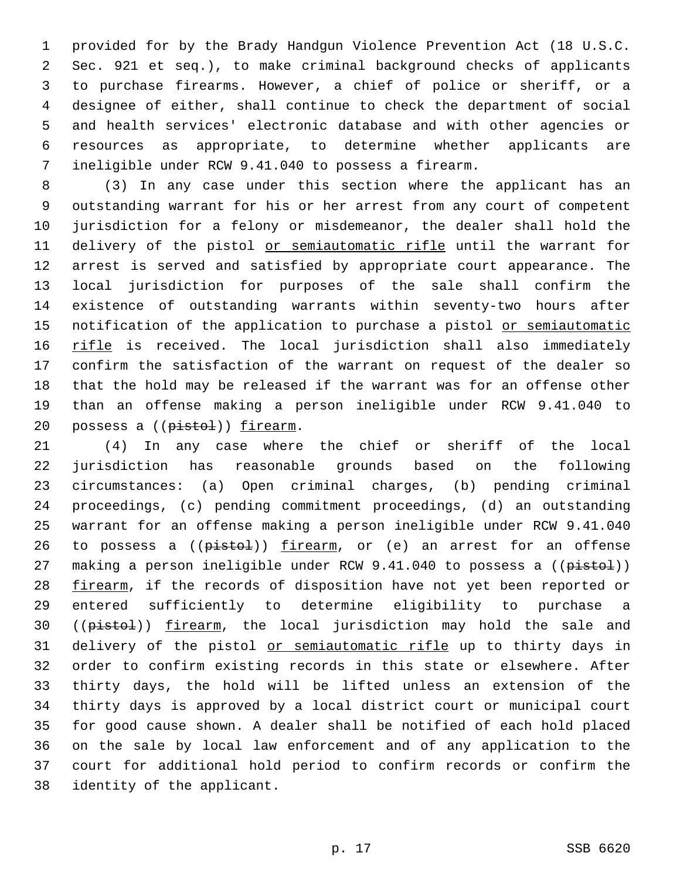provided for by the Brady Handgun Violence Prevention Act (18 U.S.C. Sec. 921 et seq.), to make criminal background checks of applicants to purchase firearms. However, a chief of police or sheriff, or a designee of either, shall continue to check the department of social and health services' electronic database and with other agencies or resources as appropriate, to determine whether applicants are ineligible under RCW 9.41.040 to possess a firearm.

 (3) In any case under this section where the applicant has an outstanding warrant for his or her arrest from any court of competent jurisdiction for a felony or misdemeanor, the dealer shall hold the 11 delivery of the pistol or semiautomatic rifle until the warrant for arrest is served and satisfied by appropriate court appearance. The local jurisdiction for purposes of the sale shall confirm the existence of outstanding warrants within seventy-two hours after 15 notification of the application to purchase a pistol or semiautomatic 16 rifle is received. The local jurisdiction shall also immediately confirm the satisfaction of the warrant on request of the dealer so that the hold may be released if the warrant was for an offense other than an offense making a person ineligible under RCW 9.41.040 to 20 possess a ((pistol)) firearm.

 (4) In any case where the chief or sheriff of the local jurisdiction has reasonable grounds based on the following circumstances: (a) Open criminal charges, (b) pending criminal proceedings, (c) pending commitment proceedings, (d) an outstanding warrant for an offense making a person ineligible under RCW 9.41.040 26 to possess a  $(\text{pist-1})$  firearm, or  $(e)$  an arrest for an offense 27 making a person ineligible under RCW 9.41.040 to possess a ((pistol)) 28 firearm, if the records of disposition have not yet been reported or entered sufficiently to determine eligibility to purchase a 30 ((pistol)) firearm, the local jurisdiction may hold the sale and 31 delivery of the pistol or semiautomatic rifle up to thirty days in order to confirm existing records in this state or elsewhere. After thirty days, the hold will be lifted unless an extension of the thirty days is approved by a local district court or municipal court for good cause shown. A dealer shall be notified of each hold placed on the sale by local law enforcement and of any application to the court for additional hold period to confirm records or confirm the 38 identity of the applicant.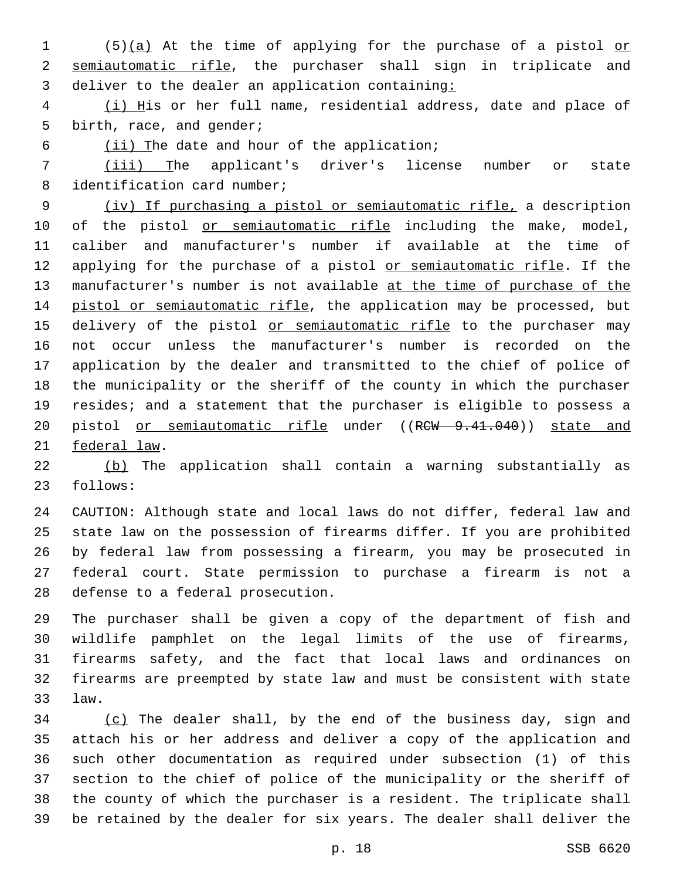1 (5)(a) At the time of applying for the purchase of a pistol or semiautomatic rifle, the purchaser shall sign in triplicate and 3 deliver to the dealer an application containing:

 (i) His or her full name, residential address, date and place of 5 birth, race, and gender;

6 (ii) The date and hour of the application;

 (iii) The applicant's driver's license number or state 8 identification card number;

 (iv) If purchasing a pistol or semiautomatic rifle, a description 10 of the pistol or semiautomatic rifle including the make, model, caliber and manufacturer's number if available at the time of 12 applying for the purchase of a pistol or semiautomatic rifle. If the 13 manufacturer's number is not available at the time of purchase of the pistol or semiautomatic rifle, the application may be processed, but 15 delivery of the pistol or semiautomatic rifle to the purchaser may not occur unless the manufacturer's number is recorded on the application by the dealer and transmitted to the chief of police of the municipality or the sheriff of the county in which the purchaser resides; and a statement that the purchaser is eligible to possess a 20 pistol or semiautomatic rifle under ((RCW 9.41.040)) state and 21 federal law.

 (b) The application shall contain a warning substantially as 23 follows:

 CAUTION: Although state and local laws do not differ, federal law and state law on the possession of firearms differ. If you are prohibited by federal law from possessing a firearm, you may be prosecuted in federal court. State permission to purchase a firearm is not a 28 defense to a federal prosecution.

 The purchaser shall be given a copy of the department of fish and wildlife pamphlet on the legal limits of the use of firearms, firearms safety, and the fact that local laws and ordinances on firearms are preempted by state law and must be consistent with state law.33

 (c) The dealer shall, by the end of the business day, sign and attach his or her address and deliver a copy of the application and such other documentation as required under subsection (1) of this section to the chief of police of the municipality or the sheriff of the county of which the purchaser is a resident. The triplicate shall be retained by the dealer for six years. The dealer shall deliver the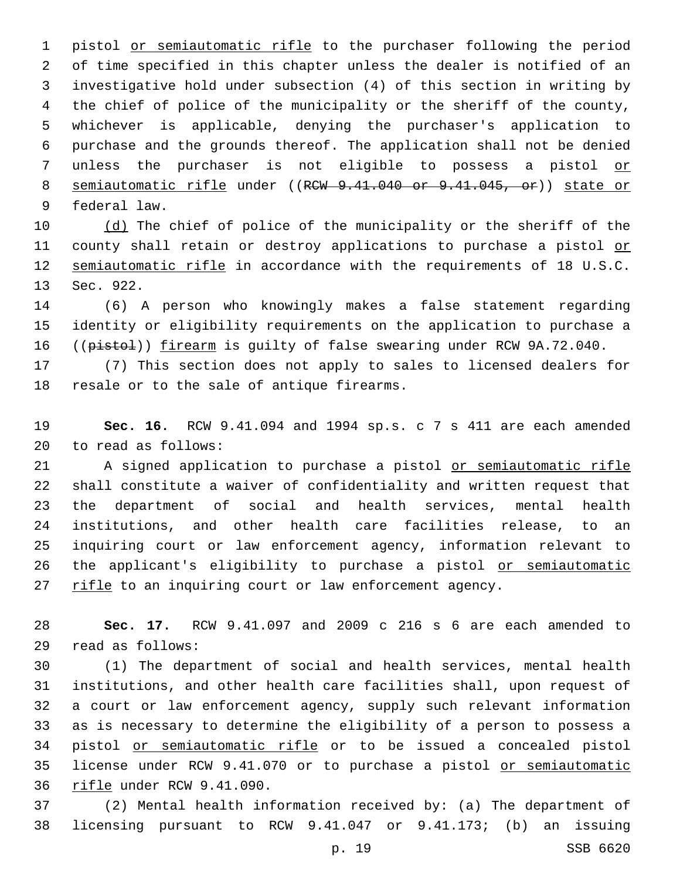pistol or semiautomatic rifle to the purchaser following the period of time specified in this chapter unless the dealer is notified of an investigative hold under subsection (4) of this section in writing by the chief of police of the municipality or the sheriff of the county, whichever is applicable, denying the purchaser's application to purchase and the grounds thereof. The application shall not be denied unless the purchaser is not eligible to possess a pistol or 8 semiautomatic rifle under ((RCW 9.41.040 or 9.41.045, or)) state or 9 federal law.

10 (d) The chief of police of the municipality or the sheriff of the 11 county shall retain or destroy applications to purchase a pistol or semiautomatic rifle in accordance with the requirements of 18 U.S.C. 13 Sec. 922.

 (6) A person who knowingly makes a false statement regarding identity or eligibility requirements on the application to purchase a 16 ((pistol)) firearm is guilty of false swearing under RCW 9A.72.040.

 (7) This section does not apply to sales to licensed dealers for 18 resale or to the sale of antique firearms.

 **Sec. 16.** RCW 9.41.094 and 1994 sp.s. c 7 s 411 are each amended 20 to read as follows:

 A signed application to purchase a pistol or semiautomatic rifle shall constitute a waiver of confidentiality and written request that the department of social and health services, mental health institutions, and other health care facilities release, to an inquiring court or law enforcement agency, information relevant to 26 the applicant's eligibility to purchase a pistol or semiautomatic 27 rifle to an inquiring court or law enforcement agency.

 **Sec. 17.** RCW 9.41.097 and 2009 c 216 s 6 are each amended to read as follows:29

 (1) The department of social and health services, mental health institutions, and other health care facilities shall, upon request of a court or law enforcement agency, supply such relevant information as is necessary to determine the eligibility of a person to possess a pistol or semiautomatic rifle or to be issued a concealed pistol license under RCW 9.41.070 or to purchase a pistol or semiautomatic 36 rifle under RCW 9.41.090.

 (2) Mental health information received by: (a) The department of licensing pursuant to RCW 9.41.047 or 9.41.173; (b) an issuing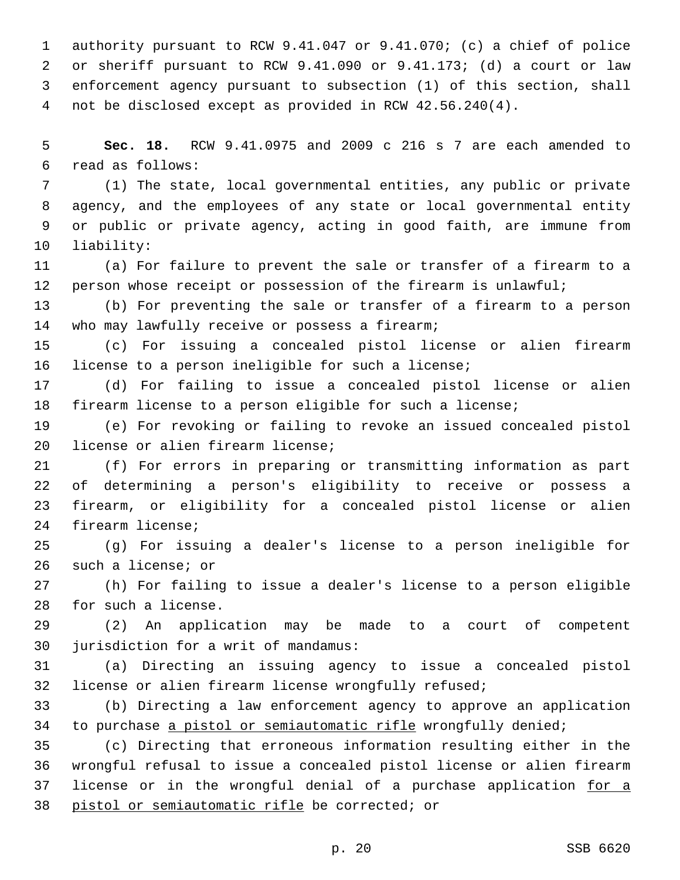authority pursuant to RCW 9.41.047 or 9.41.070; (c) a chief of police or sheriff pursuant to RCW 9.41.090 or 9.41.173; (d) a court or law enforcement agency pursuant to subsection (1) of this section, shall not be disclosed except as provided in RCW 42.56.240(4).

 **Sec. 18.** RCW 9.41.0975 and 2009 c 216 s 7 are each amended to read as follows:6

 (1) The state, local governmental entities, any public or private agency, and the employees of any state or local governmental entity or public or private agency, acting in good faith, are immune from 10 liability:

 (a) For failure to prevent the sale or transfer of a firearm to a person whose receipt or possession of the firearm is unlawful;

 (b) For preventing the sale or transfer of a firearm to a person 14 who may lawfully receive or possess a firearm;

 (c) For issuing a concealed pistol license or alien firearm license to a person ineligible for such a license;

 (d) For failing to issue a concealed pistol license or alien firearm license to a person eligible for such a license;

 (e) For revoking or failing to revoke an issued concealed pistol 20 license or alien firearm license;

 (f) For errors in preparing or transmitting information as part of determining a person's eligibility to receive or possess a firearm, or eligibility for a concealed pistol license or alien 24 firearm license;

 (g) For issuing a dealer's license to a person ineligible for 26 such a license; or

 (h) For failing to issue a dealer's license to a person eligible 28 for such a license.

 (2) An application may be made to a court of competent 30 jurisdiction for a writ of mandamus:

 (a) Directing an issuing agency to issue a concealed pistol license or alien firearm license wrongfully refused;

 (b) Directing a law enforcement agency to approve an application 34 to purchase a pistol or semiautomatic rifle wrongfully denied;

 (c) Directing that erroneous information resulting either in the wrongful refusal to issue a concealed pistol license or alien firearm 37 license or in the wrongful denial of a purchase application for a 38 pistol or semiautomatic rifle be corrected; or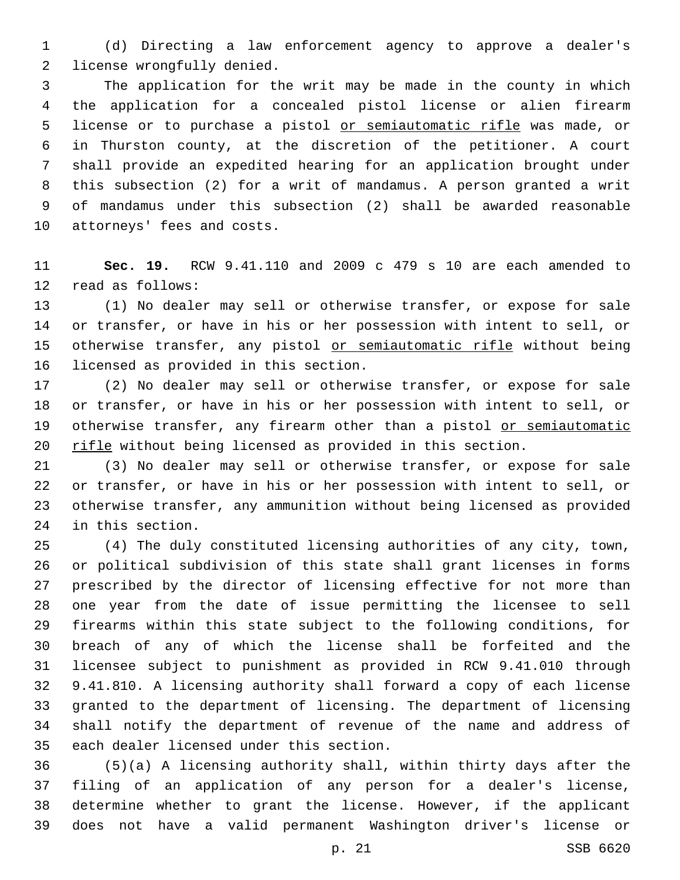(d) Directing a law enforcement agency to approve a dealer's 2 license wrongfully denied.

 The application for the writ may be made in the county in which the application for a concealed pistol license or alien firearm 5 license or to purchase a pistol or semiautomatic rifle was made, or in Thurston county, at the discretion of the petitioner. A court shall provide an expedited hearing for an application brought under this subsection (2) for a writ of mandamus. A person granted a writ of mandamus under this subsection (2) shall be awarded reasonable 10 attorneys' fees and costs.

 **Sec. 19.** RCW 9.41.110 and 2009 c 479 s 10 are each amended to 12 read as follows:

 (1) No dealer may sell or otherwise transfer, or expose for sale or transfer, or have in his or her possession with intent to sell, or 15 otherwise transfer, any pistol or semiautomatic rifle without being 16 licensed as provided in this section.

 (2) No dealer may sell or otherwise transfer, or expose for sale or transfer, or have in his or her possession with intent to sell, or 19 otherwise transfer, any firearm other than a pistol or semiautomatic 20 rifle without being licensed as provided in this section.

 (3) No dealer may sell or otherwise transfer, or expose for sale or transfer, or have in his or her possession with intent to sell, or otherwise transfer, any ammunition without being licensed as provided 24 in this section.

 (4) The duly constituted licensing authorities of any city, town, or political subdivision of this state shall grant licenses in forms prescribed by the director of licensing effective for not more than one year from the date of issue permitting the licensee to sell firearms within this state subject to the following conditions, for breach of any of which the license shall be forfeited and the licensee subject to punishment as provided in RCW 9.41.010 through 9.41.810. A licensing authority shall forward a copy of each license granted to the department of licensing. The department of licensing shall notify the department of revenue of the name and address of 35 each dealer licensed under this section.

 (5)(a) A licensing authority shall, within thirty days after the filing of an application of any person for a dealer's license, determine whether to grant the license. However, if the applicant does not have a valid permanent Washington driver's license or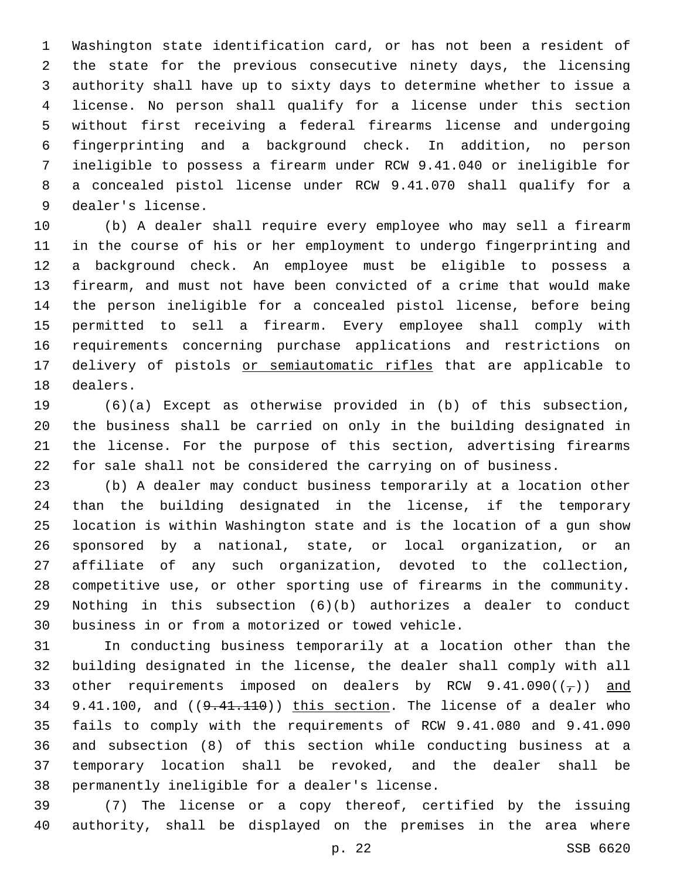Washington state identification card, or has not been a resident of the state for the previous consecutive ninety days, the licensing authority shall have up to sixty days to determine whether to issue a license. No person shall qualify for a license under this section without first receiving a federal firearms license and undergoing fingerprinting and a background check. In addition, no person ineligible to possess a firearm under RCW 9.41.040 or ineligible for a concealed pistol license under RCW 9.41.070 shall qualify for a 9 dealer's license.

 (b) A dealer shall require every employee who may sell a firearm in the course of his or her employment to undergo fingerprinting and a background check. An employee must be eligible to possess a firearm, and must not have been convicted of a crime that would make the person ineligible for a concealed pistol license, before being permitted to sell a firearm. Every employee shall comply with requirements concerning purchase applications and restrictions on 17 delivery of pistols or semiautomatic rifles that are applicable to 18 dealers.

 (6)(a) Except as otherwise provided in (b) of this subsection, the business shall be carried on only in the building designated in the license. For the purpose of this section, advertising firearms for sale shall not be considered the carrying on of business.

 (b) A dealer may conduct business temporarily at a location other than the building designated in the license, if the temporary location is within Washington state and is the location of a gun show sponsored by a national, state, or local organization, or an affiliate of any such organization, devoted to the collection, competitive use, or other sporting use of firearms in the community. Nothing in this subsection (6)(b) authorizes a dealer to conduct 30 business in or from a motorized or towed vehicle.

 In conducting business temporarily at a location other than the building designated in the license, the dealer shall comply with all 33 other requirements imposed on dealers by RCW  $9.41.090((\tau))$  and 34 9.41.100, and  $(9.41.110)$  this section. The license of a dealer who fails to comply with the requirements of RCW 9.41.080 and 9.41.090 and subsection (8) of this section while conducting business at a temporary location shall be revoked, and the dealer shall be 38 permanently ineligible for a dealer's license.

 (7) The license or a copy thereof, certified by the issuing authority, shall be displayed on the premises in the area where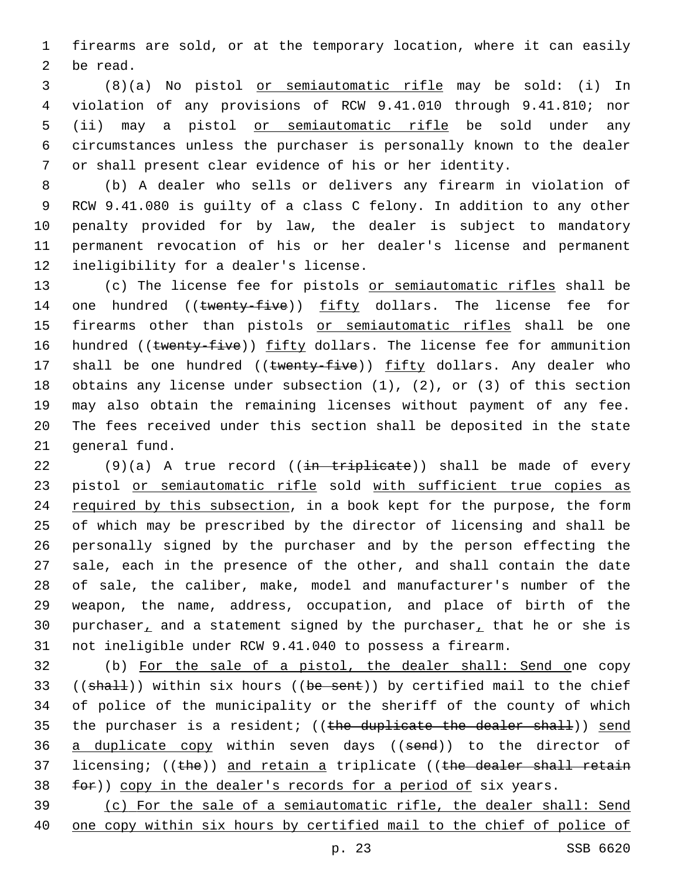1 firearms are sold, or at the temporary location, where it can easily 2 be read.

 (8)(a) No pistol or semiautomatic rifle may be sold: (i) In violation of any provisions of RCW 9.41.010 through 9.41.810; nor (ii) may a pistol or semiautomatic rifle be sold under any circumstances unless the purchaser is personally known to the dealer or shall present clear evidence of his or her identity.

 (b) A dealer who sells or delivers any firearm in violation of RCW 9.41.080 is guilty of a class C felony. In addition to any other penalty provided for by law, the dealer is subject to mandatory permanent revocation of his or her dealer's license and permanent 12 ineligibility for a dealer's license.

13 (c) The license fee for pistols or semiautomatic rifles shall be 14 one hundred ((twenty-five)) fifty dollars. The license fee for 15 firearms other than pistols or semiautomatic rifles shall be one 16 hundred ((twenty-five)) fifty dollars. The license fee for ammunition 17 shall be one hundred ((twenty-five)) fifty dollars. Any dealer who 18 obtains any license under subsection (1), (2), or (3) of this section 19 may also obtain the remaining licenses without payment of any fee. 20 The fees received under this section shall be deposited in the state 21 general fund.

 $(9)(a)$  A true record  $((\frac{in + tripleate}{i}))$  shall be made of every 23 pistol or semiautomatic rifle sold with sufficient true copies as 24 required by this subsection, in a book kept for the purpose, the form of which may be prescribed by the director of licensing and shall be personally signed by the purchaser and by the person effecting the sale, each in the presence of the other, and shall contain the date of sale, the caliber, make, model and manufacturer's number of the weapon, the name, address, occupation, and place of birth of the 30 purchaser, and a statement signed by the purchaser, that he or she is not ineligible under RCW 9.41.040 to possess a firearm.

32 (b) For the sale of a pistol, the dealer shall: Send one copy 33 (( $shall$ )) within six hours (( $be$  sent)) by certified mail to the chief 34 of police of the municipality or the sheriff of the county of which 35 the purchaser is a resident; ((the duplicate the dealer shall)) send 36 a duplicate copy within seven days ((send)) to the director of 37 licensing; ((the)) and retain a triplicate ((the dealer shall retain 38 for)) copy in the dealer's records for a period of six years.

39 (c) For the sale of a semiautomatic rifle, the dealer shall: Send 40 one copy within six hours by certified mail to the chief of police of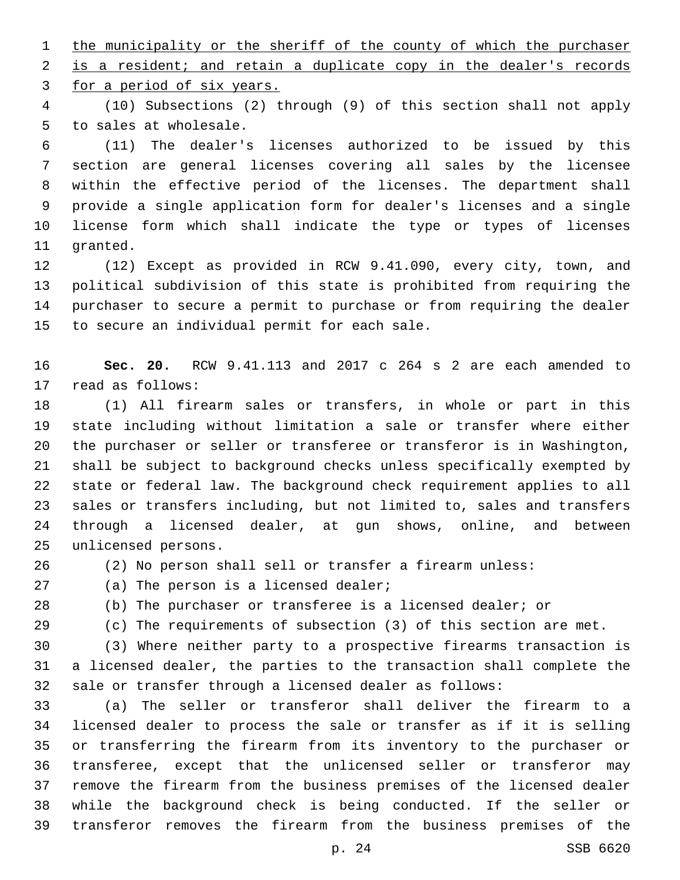1 the municipality or the sheriff of the county of which the purchaser 2 is a resident; and retain a duplicate copy in the dealer's records 3 for a period of six years.

 (10) Subsections (2) through (9) of this section shall not apply 5 to sales at wholesale.

 (11) The dealer's licenses authorized to be issued by this section are general licenses covering all sales by the licensee within the effective period of the licenses. The department shall provide a single application form for dealer's licenses and a single license form which shall indicate the type or types of licenses 11 granted.

 (12) Except as provided in RCW 9.41.090, every city, town, and political subdivision of this state is prohibited from requiring the purchaser to secure a permit to purchase or from requiring the dealer 15 to secure an individual permit for each sale.

 **Sec. 20.** RCW 9.41.113 and 2017 c 264 s 2 are each amended to 17 read as follows:

 (1) All firearm sales or transfers, in whole or part in this state including without limitation a sale or transfer where either the purchaser or seller or transferee or transferor is in Washington, shall be subject to background checks unless specifically exempted by state or federal law. The background check requirement applies to all sales or transfers including, but not limited to, sales and transfers through a licensed dealer, at gun shows, online, and between 25 unlicensed persons.

(2) No person shall sell or transfer a firearm unless:

- 27 (a) The person is a licensed dealer;
- 

(b) The purchaser or transferee is a licensed dealer; or

(c) The requirements of subsection (3) of this section are met.

 (3) Where neither party to a prospective firearms transaction is a licensed dealer, the parties to the transaction shall complete the sale or transfer through a licensed dealer as follows:

 (a) The seller or transferor shall deliver the firearm to a licensed dealer to process the sale or transfer as if it is selling or transferring the firearm from its inventory to the purchaser or transferee, except that the unlicensed seller or transferor may remove the firearm from the business premises of the licensed dealer while the background check is being conducted. If the seller or transferor removes the firearm from the business premises of the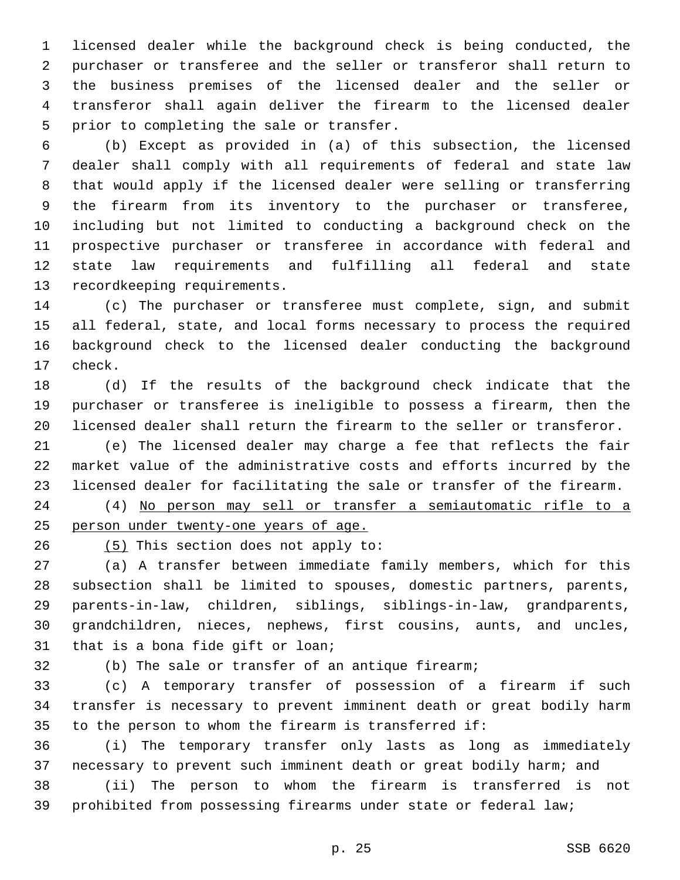licensed dealer while the background check is being conducted, the purchaser or transferee and the seller or transferor shall return to the business premises of the licensed dealer and the seller or transferor shall again deliver the firearm to the licensed dealer 5 prior to completing the sale or transfer.

 (b) Except as provided in (a) of this subsection, the licensed dealer shall comply with all requirements of federal and state law that would apply if the licensed dealer were selling or transferring the firearm from its inventory to the purchaser or transferee, including but not limited to conducting a background check on the prospective purchaser or transferee in accordance with federal and state law requirements and fulfilling all federal and state 13 recordkeeping requirements.

 (c) The purchaser or transferee must complete, sign, and submit all federal, state, and local forms necessary to process the required background check to the licensed dealer conducting the background 17 check.

 (d) If the results of the background check indicate that the purchaser or transferee is ineligible to possess a firearm, then the licensed dealer shall return the firearm to the seller or transferor.

 (e) The licensed dealer may charge a fee that reflects the fair market value of the administrative costs and efforts incurred by the licensed dealer for facilitating the sale or transfer of the firearm.

 (4) No person may sell or transfer a semiautomatic rifle to a person under twenty-one years of age.

26 (5) This section does not apply to:

 (a) A transfer between immediate family members, which for this subsection shall be limited to spouses, domestic partners, parents, parents-in-law, children, siblings, siblings-in-law, grandparents, grandchildren, nieces, nephews, first cousins, aunts, and uncles, 31 that is a bona fide gift or loan;

(b) The sale or transfer of an antique firearm;

 (c) A temporary transfer of possession of a firearm if such transfer is necessary to prevent imminent death or great bodily harm to the person to whom the firearm is transferred if:

 (i) The temporary transfer only lasts as long as immediately necessary to prevent such imminent death or great bodily harm; and (ii) The person to whom the firearm is transferred is not

prohibited from possessing firearms under state or federal law;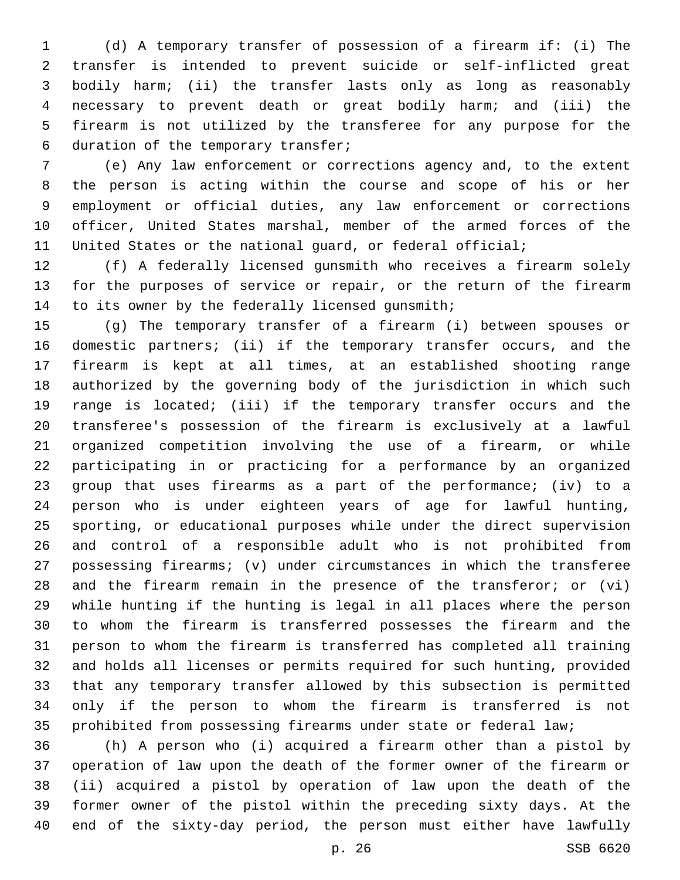(d) A temporary transfer of possession of a firearm if: (i) The transfer is intended to prevent suicide or self-inflicted great bodily harm; (ii) the transfer lasts only as long as reasonably necessary to prevent death or great bodily harm; and (iii) the firearm is not utilized by the transferee for any purpose for the 6 duration of the temporary transfer;

 (e) Any law enforcement or corrections agency and, to the extent the person is acting within the course and scope of his or her employment or official duties, any law enforcement or corrections officer, United States marshal, member of the armed forces of the United States or the national guard, or federal official;

 (f) A federally licensed gunsmith who receives a firearm solely for the purposes of service or repair, or the return of the firearm 14 to its owner by the federally licensed gunsmith;

 (g) The temporary transfer of a firearm (i) between spouses or domestic partners; (ii) if the temporary transfer occurs, and the firearm is kept at all times, at an established shooting range authorized by the governing body of the jurisdiction in which such range is located; (iii) if the temporary transfer occurs and the transferee's possession of the firearm is exclusively at a lawful organized competition involving the use of a firearm, or while participating in or practicing for a performance by an organized group that uses firearms as a part of the performance; (iv) to a person who is under eighteen years of age for lawful hunting, sporting, or educational purposes while under the direct supervision and control of a responsible adult who is not prohibited from possessing firearms; (v) under circumstances in which the transferee and the firearm remain in the presence of the transferor; or (vi) while hunting if the hunting is legal in all places where the person to whom the firearm is transferred possesses the firearm and the person to whom the firearm is transferred has completed all training and holds all licenses or permits required for such hunting, provided that any temporary transfer allowed by this subsection is permitted only if the person to whom the firearm is transferred is not prohibited from possessing firearms under state or federal law;

 (h) A person who (i) acquired a firearm other than a pistol by operation of law upon the death of the former owner of the firearm or (ii) acquired a pistol by operation of law upon the death of the former owner of the pistol within the preceding sixty days. At the end of the sixty-day period, the person must either have lawfully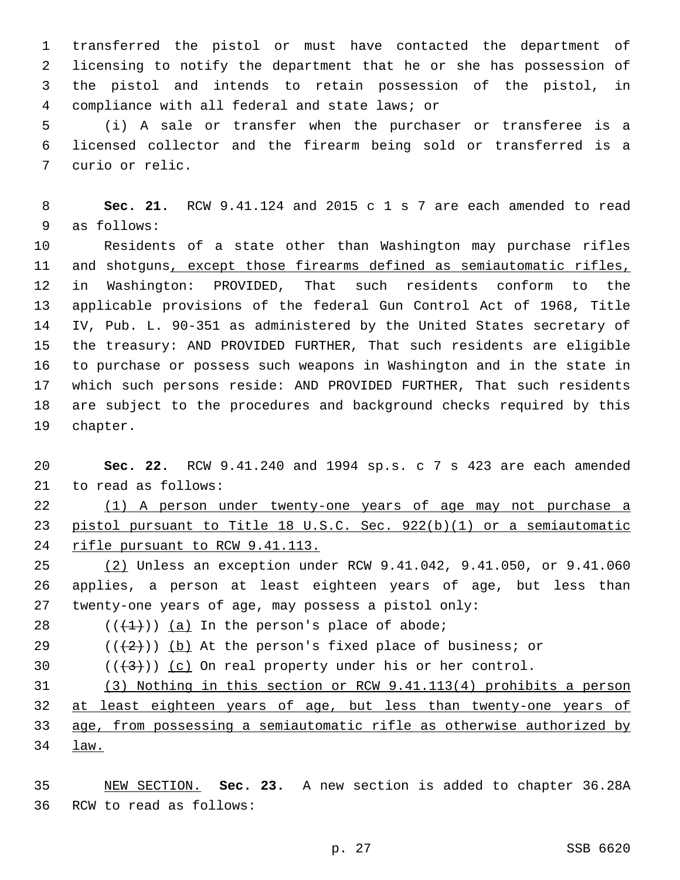transferred the pistol or must have contacted the department of licensing to notify the department that he or she has possession of the pistol and intends to retain possession of the pistol, in compliance with all federal and state laws; or4

 (i) A sale or transfer when the purchaser or transferee is a licensed collector and the firearm being sold or transferred is a 7 curio or relic.

 **Sec. 21.** RCW 9.41.124 and 2015 c 1 s 7 are each amended to read 9 as follows:

 Residents of a state other than Washington may purchase rifles and shotguns, except those firearms defined as semiautomatic rifles, in Washington: PROVIDED, That such residents conform to the applicable provisions of the federal Gun Control Act of 1968, Title IV, Pub. L. 90-351 as administered by the United States secretary of the treasury: AND PROVIDED FURTHER, That such residents are eligible to purchase or possess such weapons in Washington and in the state in which such persons reside: AND PROVIDED FURTHER, That such residents are subject to the procedures and background checks required by this 19 chapter.

 **Sec. 22.** RCW 9.41.240 and 1994 sp.s. c 7 s 423 are each amended 21 to read as follows:

 (1) A person under twenty-one years of age may not purchase a pistol pursuant to Title 18 U.S.C. Sec. 922(b)(1) or a semiautomatic rifle pursuant to RCW 9.41.113.

 (2) Unless an exception under RCW 9.41.042, 9.41.050, or 9.41.060 applies, a person at least eighteen years of age, but less than twenty-one years of age, may possess a pistol only:

28  $((+1+))$  (a) In the person's place of abode;

29  $((+2+))$  (b) At the person's fixed place of business; or

30  $((+3))$   $(c)$  On real property under his or her control.

 (3) Nothing in this section or RCW 9.41.113(4) prohibits a person at least eighteen years of age, but less than twenty-one years of age, from possessing a semiautomatic rifle as otherwise authorized by law.

 NEW SECTION. **Sec. 23.** A new section is added to chapter 36.28A 36 RCW to read as follows: